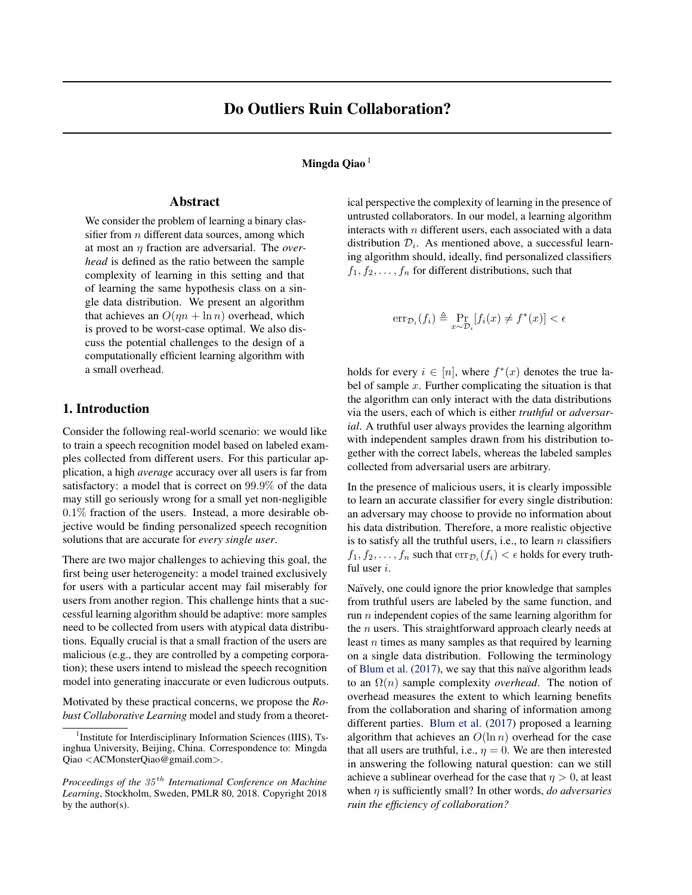#### Mingda Qiao<sup>1</sup>

# Abstract

We consider the problem of learning a binary classifier from  $n$  different data sources, among which at most an η fraction are adversarial. The *overhead* is defined as the ratio between the sample complexity of learning in this setting and that of learning the same hypothesis class on a single data distribution. We present an algorithm that achieves an  $O(\eta n + \ln n)$  overhead, which is proved to be worst-case optimal. We also discuss the potential challenges to the design of a computationally efficient learning algorithm with a small overhead.

# 1. Introduction

Consider the following real-world scenario: we would like to train a speech recognition model based on labeled examples collected from different users. For this particular application, a high *average* accuracy over all users is far from satisfactory: a model that is correct on 99.9% of the data may still go seriously wrong for a small yet non-negligible 0.1% fraction of the users. Instead, a more desirable objective would be finding personalized speech recognition solutions that are accurate for *every single user*.

There are two major challenges to achieving this goal, the first being user heterogeneity: a model trained exclusively for users with a particular accent may fail miserably for users from another region. This challenge hints that a successful learning algorithm should be adaptive: more samples need to be collected from users with atypical data distributions. Equally crucial is that a small fraction of the users are malicious (e.g., they are controlled by a competing corporation); these users intend to mislead the speech recognition model into generating inaccurate or even ludicrous outputs.

Motivated by these practical concerns, we propose the *Robust Collaborative Learning* model and study from a theoretical perspective the complexity of learning in the presence of untrusted collaborators. In our model, a learning algorithm interacts with  $n$  different users, each associated with a data distribution  $\mathcal{D}_i$ . As mentioned above, a successful learning algorithm should, ideally, find personalized classifiers  $f_1, f_2, \ldots, f_n$  for different distributions, such that

$$
\operatorname{err}_{\mathcal{D}_i}(f_i) \triangleq \Pr_{x \sim \mathcal{D}_i}[f_i(x) \neq f^*(x)] < \epsilon
$$

holds for every  $i \in [n]$ , where  $f^*(x)$  denotes the true label of sample  $x$ . Further complicating the situation is that the algorithm can only interact with the data distributions via the users, each of which is either *truthful* or *adversarial*. A truthful user always provides the learning algorithm with independent samples drawn from his distribution together with the correct labels, whereas the labeled samples collected from adversarial users are arbitrary.

In the presence of malicious users, it is clearly impossible to learn an accurate classifier for every single distribution: an adversary may choose to provide no information about his data distribution. Therefore, a more realistic objective is to satisfy all the truthful users, i.e., to learn  $n$  classifiers  $f_1, f_2, \ldots, f_n$  such that  $\text{err}_{\mathcal{D}_i}(f_i) < \epsilon$  holds for every truthful user i.

Naïvely, one could ignore the prior knowledge that samples from truthful users are labeled by the same function, and run  $n$  independent copies of the same learning algorithm for the  $n$  users. This straightforward approach clearly needs at least n times as many samples as that required by learning on a single data distribution. Following the terminology of [Blum et al.](#page-6-0)  $(2017)$ , we say that this naïve algorithm leads to an Ω(n) sample complexity *overhead*. The notion of overhead measures the extent to which learning benefits from the collaboration and sharing of information among different parties. [Blum et al.](#page-6-0) [\(2017\)](#page-6-0) proposed a learning algorithm that achieves an  $O(\ln n)$  overhead for the case that all users are truthful, i.e.,  $\eta = 0$ . We are then interested in answering the following natural question: can we still achieve a sublinear overhead for the case that  $\eta > 0$ , at least when η is sufficiently small? In other words, *do adversaries ruin the efficiency of collaboration?*

<sup>&</sup>lt;sup>1</sup> Institute for Interdisciplinary Information Sciences (IIIS), Tsinghua University, Beijing, China. Correspondence to: Mingda Qiao <ACMonsterQiao@gmail.com>.

*Proceedings of the* 35 th *International Conference on Machine Learning*, Stockholm, Sweden, PMLR 80, 2018. Copyright 2018 by the author(s).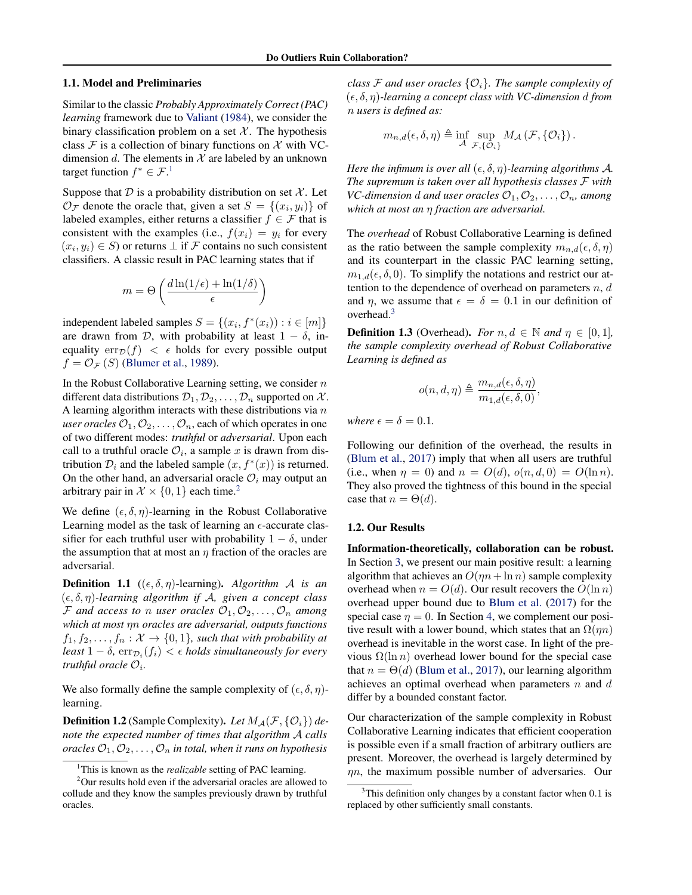#### 1.1. Model and Preliminaries

Similar to the classic *Probably Approximately Correct (PAC) learning* framework due to [Valiant](#page-6-0) [\(1984\)](#page-6-0), we consider the binary classification problem on a set  $X$ . The hypothesis class  $\mathcal F$  is a collection of binary functions on  $\mathcal X$  with VCdimension d. The elements in  $X$  are labeled by an unknown target function  $f^* \in \mathcal{F}^1$ .

Suppose that  $D$  is a probability distribution on set  $\mathcal{X}$ . Let  $\mathcal{O}_{\mathcal{F}}$  denote the oracle that, given a set  $S = \{(x_i, y_i)\}\$ of labeled examples, either returns a classifier  $f \in \mathcal{F}$  that is consistent with the examples (i.e.,  $f(x_i) = y_i$  for every  $(x_i, y_i) \in S$ ) or returns  $\perp$  if  $\mathcal F$  contains no such consistent classifiers. A classic result in PAC learning states that if

$$
m = \Theta\left(\frac{d\ln(1/\epsilon) + \ln(1/\delta)}{\epsilon}\right)
$$

independent labeled samples  $S = \{(x_i, f^*(x_i)) : i \in [m]\}$ are drawn from  $D$ , with probability at least  $1 - \delta$ , inequality  $err_{\mathcal{D}}(f) < \epsilon$  holds for every possible output  $f = \mathcal{O}_{\mathcal{F}}(S)$  [\(Blumer et al.,](#page-6-0) [1989\)](#page-6-0).

In the Robust Collaborative Learning setting, we consider  $n$ different data distributions  $\mathcal{D}_1, \mathcal{D}_2, \ldots, \mathcal{D}_n$  supported on X. A learning algorithm interacts with these distributions via  $n$ *user oracles*  $\mathcal{O}_1, \mathcal{O}_2, \ldots, \mathcal{O}_n$ , each of which operates in one of two different modes: *truthful* or *adversarial*. Upon each call to a truthful oracle  $\mathcal{O}_i$ , a sample x is drawn from distribution  $\mathcal{D}_i$  and the labeled sample  $(x, f^*(x))$  is returned. On the other hand, an adversarial oracle  $\mathcal{O}_i$  may output an arbitrary pair in  $\mathcal{X} \times \{0, 1\}$  each time.<sup>2</sup>

We define  $(\epsilon, \delta, \eta)$ -learning in the Robust Collaborative Learning model as the task of learning an  $\epsilon$ -accurate classifier for each truthful user with probability  $1 - \delta$ , under the assumption that at most an  $\eta$  fraction of the oracles are adversarial.

**Definition 1.1** (( $\epsilon$ ,  $\delta$ ,  $\eta$ )-learning). *Algorithm A is an*  $(\epsilon, \delta, \eta)$ -learning algorithm if A, given a concept class F and access to *n* user oracles  $\mathcal{O}_1, \mathcal{O}_2, \ldots, \mathcal{O}_n$  among *which at most* ηn *oracles are adversarial, outputs functions*  $f_1, f_2, \ldots, f_n : \mathcal{X} \to \{0,1\}$ *, such that with probability at* least  $1 - \delta$ ,  $\text{err}_{\mathcal{D}_i}(f_i) < \epsilon$  holds simultaneously for every truthful oracle  $\mathcal{O}_i$ .

We also formally define the sample complexity of  $(\epsilon, \delta, \eta)$ learning.

**Definition 1.2** (Sample Complexity). Let  $M_A(\mathcal{F}, {\mathcal{O}_i})$  de*note the expected number of times that algorithm* A *calls oracles*  $\mathcal{O}_1, \mathcal{O}_2, \ldots, \mathcal{O}_n$  *in total, when it runs on hypothesis* 

*class* F and user oracles  $\{O_i\}$ . The sample complexity of (, δ, η)*-learning a concept class with VC-dimension* d *from* n *users is defined as:*

$$
m_{n,d}(\epsilon,\delta,\eta) \triangleq \inf_{\mathcal{A}} \sup_{\mathcal{F},\{\mathcal{O}_i\}} M_{\mathcal{A}}(\mathcal{F},\{\mathcal{O}_i\}).
$$

*Here the infimum is over all*  $(\epsilon, \delta, \eta)$ *-learning algorithms A. The supremum is taken over all hypothesis classes* F *with VC-dimension* d and user oracles  $\mathcal{O}_1, \mathcal{O}_2, \ldots, \mathcal{O}_n$ , among *which at most an* η *fraction are adversarial.*

The *overhead* of Robust Collaborative Learning is defined as the ratio between the sample complexity  $m_{n,d}(\epsilon, \delta, \eta)$ and its counterpart in the classic PAC learning setting,  $m_{1,d}(\epsilon, \delta, 0)$ . To simplify the notations and restrict our attention to the dependence of overhead on parameters  $n, d$ and  $\eta$ , we assume that  $\epsilon = \delta = 0.1$  in our definition of overhead.<sup>3</sup>

**Definition 1.3** (Overhead). *For*  $n, d \in \mathbb{N}$  and  $\eta \in [0, 1]$ , *the sample complexity overhead of Robust Collaborative Learning is defined as*

$$
o(n, d, \eta) \triangleq \frac{m_{n, d}(\epsilon, \delta, \eta)}{m_{1, d}(\epsilon, \delta, 0)},
$$

*where*  $\epsilon = \delta = 0.1$ *.* 

Following our definition of the overhead, the results in [\(Blum et al.,](#page-6-0) [2017\)](#page-6-0) imply that when all users are truthful (i.e., when  $\eta = 0$ ) and  $n = O(d)$ ,  $o(n, d, 0) = O(\ln n)$ . They also proved the tightness of this bound in the special case that  $n = \Theta(d)$ .

#### 1.2. Our Results

Information-theoretically, collaboration can be robust. In Section [3,](#page-2-0) we present our main positive result: a learning algorithm that achieves an  $O(\eta n + \ln n)$  sample complexity overhead when  $n = O(d)$ . Our result recovers the  $O(\ln n)$ overhead upper bound due to [Blum et al.](#page-6-0) [\(2017\)](#page-6-0) for the special case  $\eta = 0$ . In Section [4,](#page-5-0) we complement our positive result with a lower bound, which states that an  $\Omega(m)$ overhead is inevitable in the worst case. In light of the previous  $\Omega(\ln n)$  overhead lower bound for the special case that  $n = \Theta(d)$  [\(Blum et al.,](#page-6-0) [2017\)](#page-6-0), our learning algorithm achieves an optimal overhead when parameters  $n$  and  $d$ differ by a bounded constant factor.

Our characterization of the sample complexity in Robust Collaborative Learning indicates that efficient cooperation is possible even if a small fraction of arbitrary outliers are present. Moreover, the overhead is largely determined by  $\eta$ n, the maximum possible number of adversaries. Our

<sup>&</sup>lt;sup>1</sup>This is known as the *realizable* setting of PAC learning.

<sup>&</sup>lt;sup>2</sup>Our results hold even if the adversarial oracles are allowed to collude and they know the samples previously drawn by truthful oracles.

 $3$ This definition only changes by a constant factor when 0.1 is replaced by other sufficiently small constants.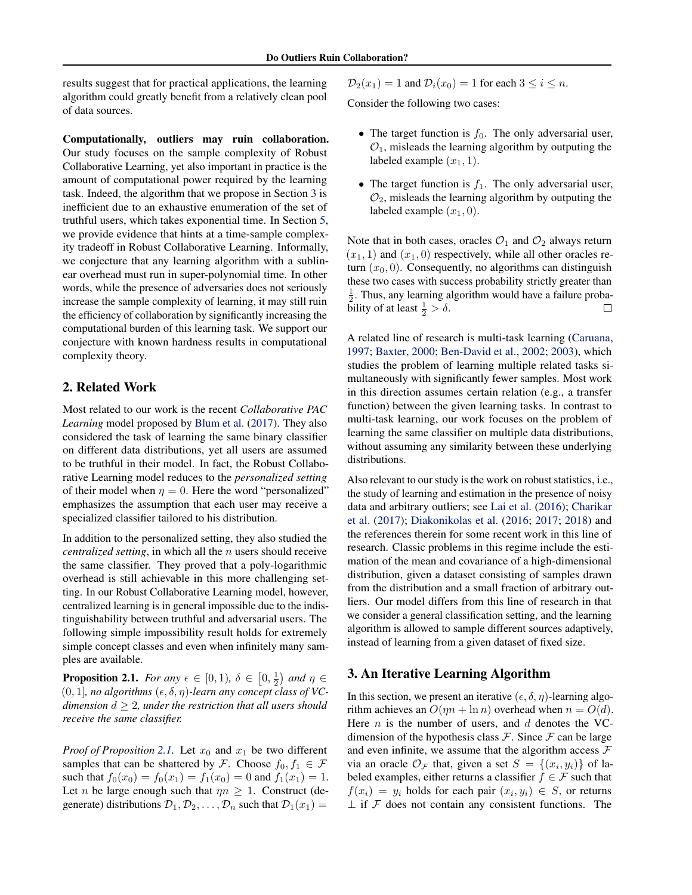<span id="page-2-0"></span>results suggest that for practical applications, the learning algorithm could greatly benefit from a relatively clean pool of data sources.

Computationally, outliers may ruin collaboration. Our study focuses on the sample complexity of Robust Collaborative Learning, yet also important in practice is the amount of computational power required by the learning task. Indeed, the algorithm that we propose in Section 3 is inefficient due to an exhaustive enumeration of the set of truthful users, which takes exponential time. In Section [5,](#page-6-0) we provide evidence that hints at a time-sample complexity tradeoff in Robust Collaborative Learning. Informally, we conjecture that any learning algorithm with a sublinear overhead must run in super-polynomial time. In other words, while the presence of adversaries does not seriously increase the sample complexity of learning, it may still ruin the efficiency of collaboration by significantly increasing the computational burden of this learning task. We support our conjecture with known hardness results in computational complexity theory.

## 2. Related Work

Most related to our work is the recent *Collaborative PAC Learning* model proposed by [Blum et al.](#page-6-0) [\(2017\)](#page-6-0). They also considered the task of learning the same binary classifier on different data distributions, yet all users are assumed to be truthful in their model. In fact, the Robust Collaborative Learning model reduces to the *personalized setting* of their model when  $\eta = 0$ . Here the word "personalized" emphasizes the assumption that each user may receive a specialized classifier tailored to his distribution.

In addition to the personalized setting, they also studied the *centralized setting*, in which all the *n* users should receive the same classifier. They proved that a poly-logarithmic overhead is still achievable in this more challenging setting. In our Robust Collaborative Learning model, however, centralized learning is in general impossible due to the indistinguishability between truthful and adversarial users. The following simple impossibility result holds for extremely simple concept classes and even when infinitely many samples are available.

**Proposition 2.1.** *For any*  $\epsilon \in [0,1)$ ,  $\delta \in [0,\frac{1}{2})$  *and*  $\eta \in$  $(0, 1]$ , no algorithms  $(\epsilon, \delta, \eta)$ -learn any concept class of VC*dimension*  $d \geq 2$ *, under the restriction that all users should receive the same classifier.*

*Proof of Proposition* 2.1. Let  $x_0$  and  $x_1$  be two different samples that can be shattered by F. Choose  $f_0, f_1 \in \mathcal{F}$ such that  $f_0(x_0) = f_0(x_1) = f_1(x_0) = 0$  and  $f_1(x_1) = 1$ . Let *n* be large enough such that  $\eta n \geq 1$ . Construct (degenerate) distributions  $\mathcal{D}_1, \mathcal{D}_2, \ldots, \mathcal{D}_n$  such that  $\mathcal{D}_1(x_1) =$ 

 $\mathcal{D}_2(x_1) = 1$  and  $\mathcal{D}_i(x_0) = 1$  for each  $3 \le i \le n$ .

Consider the following two cases:

- The target function is  $f_0$ . The only adversarial user,  $\mathcal{O}_1$ , misleads the learning algorithm by outputing the labeled example  $(x_1, 1)$ .
- The target function is  $f_1$ . The only adversarial user,  $\mathcal{O}_2$ , misleads the learning algorithm by outputing the labeled example  $(x_1, 0)$ .

Note that in both cases, oracles  $\mathcal{O}_1$  and  $\mathcal{O}_2$  always return  $(x_1, 1)$  and  $(x_1, 0)$  respectively, while all other oracles return  $(x_0, 0)$ . Consequently, no algorithms can distinguish these two cases with success probability strictly greater than  $\frac{1}{2}$ . Thus, any learning algorithm would have a failure probability of at least  $\frac{1}{2} > \delta$ .  $\Box$ 

A related line of research is multi-task learning [\(Caruana,](#page-6-0) [1997;](#page-6-0) [Baxter,](#page-6-0) [2000;](#page-6-0) [Ben-David et al.,](#page-6-0) [2002;](#page-6-0) [2003\)](#page-6-0), which studies the problem of learning multiple related tasks simultaneously with significantly fewer samples. Most work in this direction assumes certain relation (e.g., a transfer function) between the given learning tasks. In contrast to multi-task learning, our work focuses on the problem of learning the same classifier on multiple data distributions, without assuming any similarity between these underlying distributions.

Also relevant to our study is the work on robust statistics, i.e., the study of learning and estimation in the presence of noisy data and arbitrary outliers; see [Lai et al.](#page-6-0) [\(2016\)](#page-6-0); [Charikar](#page-6-0) [et al.](#page-6-0) [\(2017\)](#page-6-0); [Diakonikolas et al.](#page-6-0) [\(2016;](#page-6-0) [2017;](#page-6-0) [2018\)](#page-6-0) and the references therein for some recent work in this line of research. Classic problems in this regime include the estimation of the mean and covariance of a high-dimensional distribution, given a dataset consisting of samples drawn from the distribution and a small fraction of arbitrary outliers. Our model differs from this line of research in that we consider a general classification setting, and the learning algorithm is allowed to sample different sources adaptively, instead of learning from a given dataset of fixed size.

## 3. An Iterative Learning Algorithm

In this section, we present an iterative  $(\epsilon, \delta, \eta)$ -learning algorithm achieves an  $O(m + \ln n)$  overhead when  $n = O(d)$ . Here *n* is the number of users, and  $d$  denotes the VCdimension of the hypothesis class  $\mathcal F$ . Since  $\mathcal F$  can be large and even infinite, we assume that the algorithm access  $\mathcal F$ via an oracle  $\mathcal{O}_{\mathcal{F}}$  that, given a set  $S = \{(x_i, y_i)\}\$  of labeled examples, either returns a classifier  $f \in \mathcal{F}$  such that  $f(x_i) = y_i$  holds for each pair  $(x_i, y_i) \in S$ , or returns  $\perp$  if F does not contain any consistent functions. The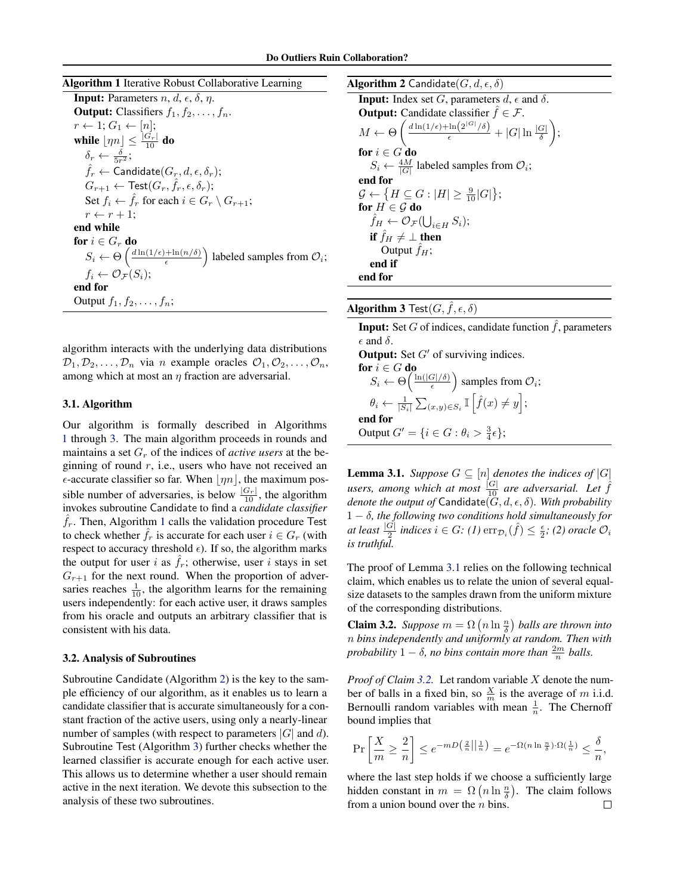<span id="page-3-0"></span>

algorithm interacts with the underlying data distributions  $\mathcal{D}_1, \mathcal{D}_2, \ldots, \mathcal{D}_n$  via n example oracles  $\mathcal{O}_1, \mathcal{O}_2, \ldots, \mathcal{O}_n$ , among which at most an  $\eta$  fraction are adversarial.

#### 3.1. Algorithm

Our algorithm is formally described in Algorithms 1 through 3. The main algorithm proceeds in rounds and maintains a set  $G_r$  of the indices of *active users* at the beginning of round  $r$ , i.e., users who have not received an  $\epsilon$ -accurate classifier so far. When  $|\eta n|$ , the maximum possible number of adversaries, is below  $\frac{|G_r|}{10}$ , the algorithm invokes subroutine Candidate to find a *candidate classifier*  $\hat{f}_r$ . Then, Algorithm 1 calls the validation procedure Test to check whether  $\hat{f}_r$  is accurate for each user  $i \in G_r$  (with respect to accuracy threshold  $\epsilon$ ). If so, the algorithm marks the output for user i as  $f_r$ ; otherwise, user i stays in set  $G_{r+1}$  for the next round. When the proportion of adversaries reaches  $\frac{1}{10}$ , the algorithm learns for the remaining users independently: for each active user, it draws samples from his oracle and outputs an arbitrary classifier that is consistent with his data.

#### 3.2. Analysis of Subroutines

Subroutine Candidate (Algorithm 2) is the key to the sample efficiency of our algorithm, as it enables us to learn a candidate classifier that is accurate simultaneously for a constant fraction of the active users, using only a nearly-linear number of samples (with respect to parameters  $|G|$  and d). Subroutine Test (Algorithm 3) further checks whether the learned classifier is accurate enough for each active user. This allows us to determine whether a user should remain active in the next iteration. We devote this subsection to the analysis of these two subroutines.



Algorithm 3 Test $(G, \tilde{f}, \epsilon, \delta)$ 

**Input:** Set G of indices, candidate function  $\hat{f}$ , parameters  $\epsilon$  and  $\delta$ .

**Output:** Set  $G'$  of surviving indices. for  $i \in G$  do  $S_i \leftarrow \Theta\left(\frac{\ln(|G|/\delta)}{\epsilon}\right)$  $\left(\frac{G|}{\epsilon}\right)$  samples from  $\mathcal{O}_i$ ;  $\theta_i \leftarrow \frac{1}{|S_i|} \sum_{(x,y)\in S_i} \mathbb{I} \left[ \hat{f}(x) \neq y \right];$ end for Output  $G' = \{i \in G : \theta_i > \frac{3}{4}\epsilon\};$ 

**Lemma 3.1.** *Suppose*  $G \subseteq [n]$  *denotes the indices of*  $|G|$ users, among which at most  $\frac{|G|}{10}$  are adversarial. Let  $\hat{f}$ *denote the output of* Candidate( $(G, d, \epsilon, \delta)$ *. With probability* 1 − δ*, the following two conditions hold simultaneously for* at least  $\frac{|G|}{2}$  indices  $i \in G$ : (1)  $\text{err}_{\mathcal{D}_i}(\hat{f}) \leq \frac{\epsilon}{2}$ ; (2) oracle  $\mathcal{O}_i$ *is truthful.*

The proof of Lemma 3.1 relies on the following technical claim, which enables us to relate the union of several equalsize datasets to the samples drawn from the uniform mixture of the corresponding distributions.

**Claim 3.2.** *Suppose*  $m = \Omega\left(n \ln \frac{n}{\delta}\right)$  *balls are thrown into* n *bins independently and uniformly at random. Then with probability*  $1 - \delta$ *, no bins contain more than*  $\frac{2m}{n}$  *balls.* 

*Proof of Claim 3.2.* Let random variable X denote the number of balls in a fixed bin, so  $\frac{X}{m}$  is the average of m i.i.d. Bernoulli random variables with mean  $\frac{1}{n}$ . The Chernoff bound implies that

$$
\Pr\left[\frac{X}{m} \ge \frac{2}{n}\right] \le e^{-mD\left(\frac{2}{n}\right)\left|\frac{1}{n}\right|} = e^{-\Omega\left(n\ln\frac{n}{\delta}\right)\cdot\Omega\left(\frac{1}{n}\right)} \le \frac{\delta}{n},
$$

where the last step holds if we choose a sufficiently large hidden constant in  $m = \Omega\left(n \ln \frac{n}{\delta}\right)$ . The claim follows from a union bound over the  $n$  bins.  $\Box$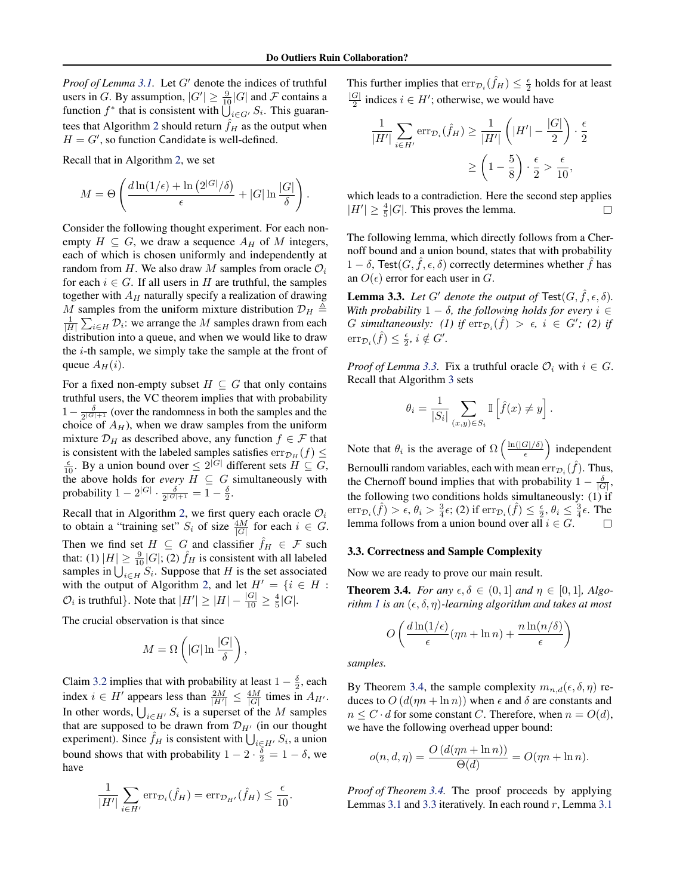<span id="page-4-0"></span>*Proof of Lemma [3.1.](#page-3-0)* Let  $G'$  denote the indices of truthful users in G. By assumption,  $|G'| \ge \frac{9}{10}|G|$  and F contains a function  $f^*$  that is consistent with  $\bigcup_{i \in G'} S_i$ . This guaran-tees that Algorithm [2](#page-3-0) should return  $\hat{f}_H$  as the output when  $H = G'$ , so function Candidate is well-defined.

Recall that in Algorithm [2,](#page-3-0) we set

$$
M = \Theta\left(\frac{d\ln(1/\epsilon) + \ln\left(2^{|G|}/\delta\right)}{\epsilon} + |G| \ln\frac{|G|}{\delta}\right).
$$

Consider the following thought experiment. For each nonempty  $H \subseteq G$ , we draw a sequence  $A_H$  of M integers, each of which is chosen uniformly and independently at random from H. We also draw M samples from oracle  $\mathcal{O}_i$ for each  $i \in G$ . If all users in H are truthful, the samples together with  $A_H$  naturally specify a realization of drawing M samples from the uniform mixture distribution  $\mathcal{D}_H \triangleq$  $\frac{1}{|H|} \sum_{i \in H} \mathcal{D}_i$ : we arrange the M samples drawn from each distribution into a queue, and when we would like to draw the i-th sample, we simply take the sample at the front of queue  $A_H(i)$ .

For a fixed non-empty subset  $H \subseteq G$  that only contains truthful users, the VC theorem implies that with probability  $1-\frac{\delta}{2^{|G|+1}}$  (over the randomness in both the samples and the choice of  $A_H$ ), when we draw samples from the uniform mixture  $\mathcal{D}_H$  as described above, any function  $f \in \mathcal{F}$  that is consistent with the labeled samples satisfies  $err_{\mathcal{D}_H}(f) \leq$  $\frac{\epsilon}{10}$ . By a union bound over  $\leq 2^{|G|}$  different sets  $H \subseteq G$ , the above holds for *every*  $H \subseteq G$  simultaneously with probability  $1 - 2^{|G|} \cdot \frac{\delta}{2^{|G|+1}} = 1 - \frac{\delta}{2}$ .

Recall that in Algorithm [2,](#page-3-0) we first query each oracle  $\mathcal{O}_i$ to obtain a "training set"  $S_i$  of size  $\frac{4M}{|G|}$  for each  $i \in G$ . Then we find set  $H \subseteq G$  and classifier  $\hat{f}_H \in \mathcal{F}$  such that: (1)  $|H| \ge \frac{9}{10}|G|$ ; (2)  $\hat{f}_H$  is consistent with all labeled samples in  $\bigcup_{i \in H} S_i$ . Suppose that H is the set associated with the output of Algorithm [2,](#page-3-0) and let  $H' = \{i \in H :$  $\mathcal{O}_i$  is truthful}. Note that  $|H'| \geq |H| - \frac{|G|}{10} \geq \frac{4}{5}|G|$ .

The crucial observation is that since

$$
M = \Omega\left(|G| \ln \frac{|G|}{\delta}\right),\,
$$

Claim [3.2](#page-3-0) implies that with probability at least  $1 - \frac{\delta}{2}$ , each index  $i \in H'$  appears less than  $\frac{2M}{|H'|} \leq \frac{4M}{|G|}$  times in  $A_{H'}$ . In other words,  $\bigcup_{i \in H'} S_i$  is a superset of the M samples that are supposed to be drawn from  $\mathcal{D}_{H}$  (in our thought experiment). Since  $\hat{f}_H$  is consistent with  $\bigcup_{i \in H'} S_i$ , a union bound shows that with probability  $1 - 2 \cdot \frac{\delta}{2} = 1 - \delta$ , we have

$$
\frac{1}{|H'|}\sum_{i\in H'}\operatorname{err}_{\mathcal{D}_i}(\hat{f}_H)=\operatorname{err}_{\mathcal{D}_{H'}}(\hat{f}_H)\leq \frac{\epsilon}{10}.
$$

This further implies that  $err_{\mathcal{D}_i}(\hat{f}_H) \leq \frac{\epsilon}{2}$  holds for at least  $|G|$  $\frac{G}{2}$  indices  $i \in H'$ ; otherwise, we would have

$$
\frac{1}{|H'|} \sum_{i \in H'} \text{err}_{\mathcal{D}_i}(\hat{f}_H) \ge \frac{1}{|H'|} \left( |H'| - \frac{|G|}{2} \right) \cdot \frac{\epsilon}{2}
$$

$$
\ge \left(1 - \frac{5}{8}\right) \cdot \frac{\epsilon}{2} > \frac{\epsilon}{10},
$$

which leads to a contradiction. Here the second step applies  $|H'| \geq \frac{4}{5}|G|$ . This proves the lemma.  $\Box$ 

The following lemma, which directly follows from a Chernoff bound and a union bound, states that with probability  $1 - \delta$ , Test $(G, f, \epsilon, \delta)$  correctly determines whether f has an  $O(\epsilon)$  error for each user in G.

**Lemma 3.3.** *Let* G' denote the output of  $\text{Test}(G, \hat{f}, \epsilon, \delta)$ *. With probability*  $1 - \delta$ *, the following holds for every*  $i \in$  $G$  simultaneously: (1) if  $\text{err}_{\mathcal{D}_i}(\hat{f}) > \epsilon$ ,  $i \in G'$ ; (2) if  $\operatorname{err}_{\mathcal{D}_i}(\hat{f}) \leq \frac{\epsilon}{2}, i \notin G'.$ 

*Proof of Lemma* 3.3. Fix a truthful oracle  $\mathcal{O}_i$  with  $i \in G$ . Recall that Algorithm [3](#page-3-0) sets

$$
\theta_i = \frac{1}{|S_i|} \sum_{(x,y) \in S_i} \mathbb{I}\left[\hat{f}(x) \neq y\right].
$$

Note that  $\theta_i$  is the average of  $\Omega\left(\frac{\ln(|G|/\delta)}{\epsilon}\right)$  $\left(\frac{G|}{\epsilon}\right)$  independent Bernoulli random variables, each with mean  $err_{\mathcal{D}_i}(\hat{f})$ . Thus, the Chernoff bound implies that with probability  $1 - \frac{\delta}{|G|}$ , the following two conditions holds simultaneously: (1) if  $\mathrm{err}_{\mathcal{D}_i}(\hat{f}) > \epsilon, \theta_i > \frac{3}{4}\epsilon$ ; (2) if  $\mathrm{err}_{\mathcal{D}_i}(\hat{f}) \leq \frac{\epsilon}{2}, \theta_i \leq \frac{3}{4}\epsilon$ . The lemma follows from a union bound over all  $i \in G$ . □

#### 3.3. Correctness and Sample Complexity

Now we are ready to prove our main result.

**Theorem 3.4.** *For any*  $\epsilon, \delta \in (0, 1]$  *and*  $\eta \in [0, 1]$ *, Algorithm [1](#page-3-0) is an*  $(\epsilon, \delta, \eta)$ *-learning algorithm and takes at most* 

$$
O\left(\frac{d\ln(1/\epsilon)}{\epsilon}(\eta n + \ln n) + \frac{n\ln(n/\delta)}{\epsilon}\right)
$$

*samples.*

By Theorem 3.4, the sample complexity  $m_{n,d}(\epsilon, \delta, \eta)$  reduces to  $O(d(m + \ln n))$  when  $\epsilon$  and  $\delta$  are constants and  $n \leq C \cdot d$  for some constant C. Therefore, when  $n = O(d)$ , we have the following overhead upper bound:

$$
o(n, d, \eta) = \frac{O(d(\eta n + \ln n))}{\Theta(d)} = O(\eta n + \ln n).
$$

*Proof of Theorem 3.4.* The proof proceeds by applying Lemmas [3.1](#page-3-0) and 3.3 iteratively. In each round  $r$ , Lemma 3.1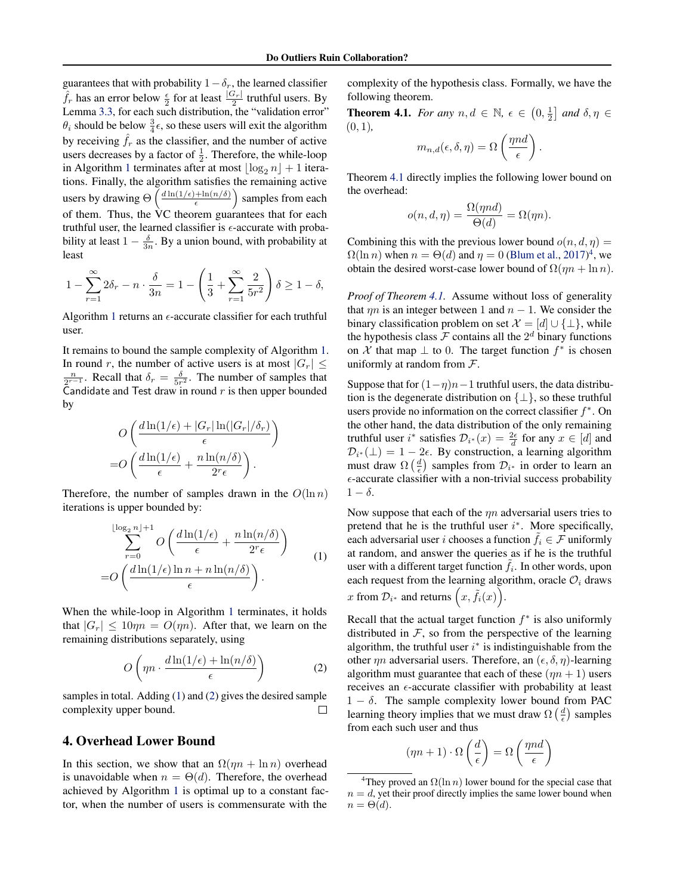<span id="page-5-0"></span>guarantees that with probability  $1-\delta_r$ , the learned classifier  $\hat{f}_r$  has an error below  $\frac{\epsilon}{2}$  for at least  $\frac{|G_r|}{2}$  truthful users. By Lemma [3.3,](#page-4-0) for each such distribution, the "validation error"  $\theta_i$  should be below  $\frac{3}{4}\epsilon$ , so these users will exit the algorithm by receiving  $\hat{f}_r$  as the classifier, and the number of active users decreases by a factor of  $\frac{1}{2}$ . Therefore, the while-loop in Algorithm [1](#page-3-0) terminates after at most  $\log_2 n + 1$  iterations. Finally, the algorithm satisfies the remaining active users by drawing  $\Theta\left(\frac{d \ln(1/\epsilon) + \ln(n/\delta)}{\epsilon}\right)$  $\frac{\sin\left(\frac{n}{\delta}\right)}{n}$  samples from each of them. Thus, the VC theorem guarantees that for each truthful user, the learned classifier is  $\epsilon$ -accurate with probability at least  $1 - \frac{\delta}{3n}$ . By a union bound, with probability at least

$$
1 - \sum_{r=1}^{\infty} 2\delta_r - n \cdot \frac{\delta}{3n} = 1 - \left(\frac{1}{3} + \sum_{r=1}^{\infty} \frac{2}{5r^2}\right)\delta \ge 1 - \delta,
$$

Algorithm [1](#page-3-0) returns an  $\epsilon$ -accurate classifier for each truthful user.

It remains to bound the sample complexity of Algorithm [1.](#page-3-0) In round r, the number of active users is at most  $|G_r| \leq$  $\frac{n}{2^{r-1}}$ . Recall that  $\delta_r = \frac{\delta}{5r^2}$ . The number of samples that Candidate and Test draw in round  $r$  is then upper bounded by

$$
O\left(\frac{d\ln(1/\epsilon) + |G_r| \ln(|G_r|/\delta_r)}{\epsilon}\right)
$$
  
= 
$$
O\left(\frac{d\ln(1/\epsilon)}{\epsilon} + \frac{n\ln(n/\delta)}{2^r\epsilon}\right).
$$

Therefore, the number of samples drawn in the  $O(\ln n)$ iterations is upper bounded by:

$$
\sum_{r=0}^{\lfloor \log_2 n \rfloor + 1} O\left(\frac{d \ln(1/\epsilon)}{\epsilon} + \frac{n \ln(n/\delta)}{2^r \epsilon}\right)
$$
  
= 
$$
O\left(\frac{d \ln(1/\epsilon) \ln n + n \ln(n/\delta)}{\epsilon}\right).
$$
 (1)

When the while-loop in Algorithm [1](#page-3-0) terminates, it holds that  $|G_r| \leq 10\eta n = O(\eta n)$ . After that, we learn on the remaining distributions separately, using

$$
O\left(\eta n \cdot \frac{d\ln(1/\epsilon) + \ln(n/\delta)}{\epsilon}\right) \tag{2}
$$

samples in total. Adding (1) and (2) gives the desired sample complexity upper bound.  $\Box$ 

## 4. Overhead Lower Bound

In this section, we show that an  $\Omega(\eta n + \ln n)$  overhead is unavoidable when  $n = \Theta(d)$ . Therefore, the overhead achieved by Algorithm [1](#page-3-0) is optimal up to a constant factor, when the number of users is commensurate with the

complexity of the hypothesis class. Formally, we have the following theorem.

**Theorem 4.1.** *For any*  $n, d \in \mathbb{N}$ ,  $\epsilon \in (0, \frac{1}{2}]$  *and*  $\delta, \eta \in$ (0, 1)*,*

$$
m_{n,d}(\epsilon,\delta,\eta) = \Omega\left(\frac{m d}{\epsilon}\right).
$$

Theorem 4.1 directly implies the following lower bound on the overhead:

$$
o(n, d, \eta) = \frac{\Omega(\eta nd)}{\Theta(d)} = \Omega(\eta n).
$$

Combining this with the previous lower bound  $o(n, d, \eta)$  =  $\Omega(\ln n)$  when  $n = \Theta(d)$  and  $\eta = 0$  [\(Blum et al.,](#page-6-0) [2017\)](#page-6-0)<sup>4</sup>, we obtain the desired worst-case lower bound of  $\Omega(m + \ln n)$ .

*Proof of Theorem 4.1.* Assume without loss of generality that  $\eta n$  is an integer between 1 and  $n - 1$ . We consider the binary classification problem on set  $\mathcal{X} = [d] \cup \{\perp\}$ , while the hypothesis class  $\mathcal F$  contains all the  $2^d$  binary functions on X that map  $\perp$  to 0. The target function  $f^*$  is chosen uniformly at random from  $\mathcal{F}$ .

Suppose that for  $(1-\eta)n-1$  truthful users, the data distribution is the degenerate distribution on  $\{\perp\}$ , so these truthful users provide no information on the correct classifier  $f^*$ . On the other hand, the data distribution of the only remaining truthful user  $i^*$  satisfies  $\mathcal{D}_{i^*}(x) = \frac{2\epsilon}{d}$  for any  $x \in [d]$  and  $\mathcal{D}_{i^*}(\perp) = 1 - 2\epsilon$ . By construction, a learning algorithm must draw  $\Omega\left(\frac{d}{\epsilon}\right)$  samples from  $\mathcal{D}_{i^*}$  in order to learn an  $\epsilon$ -accurate classifier with a non-trivial success probability  $1 - \delta$ .

Now suppose that each of the  $\eta n$  adversarial users tries to pretend that he is the truthful user  $i^*$ . More specifically, each adversarial user i chooses a function  $f_i \in \mathcal{F}$  uniformly at random, and answer the queries as if he is the truthful user with a different target function  $\tilde{f}_i$ . In other words, upon each request from the learning algorithm, oracle  $\mathcal{O}_i$  draws x from  $\mathcal{D}_{i^*}$  and returns  $(x, \tilde{f}_i(x))$ .

Recall that the actual target function  $f^*$  is also uniformly distributed in  $F$ , so from the perspective of the learning algorithm, the truthful user  $i^*$  is indistinguishable from the other  $\eta n$  adversarial users. Therefore, an  $(\epsilon, \delta, \eta)$ -learning algorithm must guarantee that each of these  $(m + 1)$  users receives an  $\epsilon$ -accurate classifier with probability at least  $1 - \delta$ . The sample complexity lower bound from PAC learning theory implies that we must draw  $\Omega\left(\frac{d}{\epsilon}\right)$  samples from each such user and thus

$$
(\eta n+1)\cdot \Omega\left(\frac{d}{\epsilon}\right)=\Omega\left(\frac{\eta n d}{\epsilon}\right)
$$

<sup>&</sup>lt;sup>4</sup>They proved an  $\Omega(\ln n)$  lower bound for the special case that  $n = d$ , yet their proof directly implies the same lower bound when  $n = \Theta(d)$ .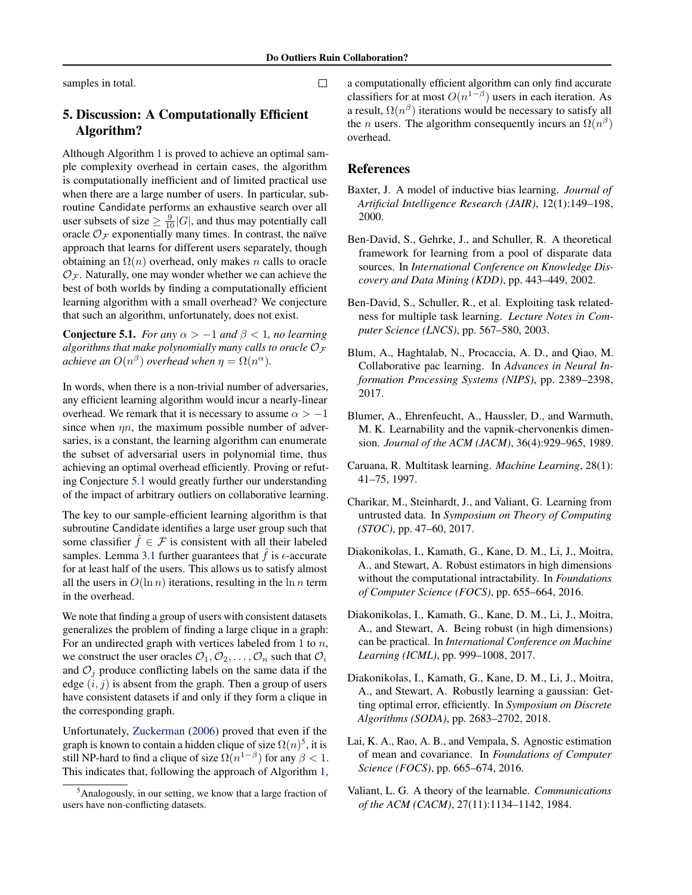<span id="page-6-0"></span>samples in total.

# 5. Discussion: A Computationally Efficient Algorithm?

Although Algorithm [1](#page-3-0) is proved to achieve an optimal sample complexity overhead in certain cases, the algorithm is computationally inefficient and of limited practical use when there are a large number of users. In particular, subroutine Candidate performs an exhaustive search over all user subsets of size  $\geq \frac{9}{10}|G|$ , and thus may potentially call oracle  $\mathcal{O}_{\mathcal{F}}$  exponentially many times. In contrast, the naïve approach that learns for different users separately, though obtaining an  $\Omega(n)$  overhead, only makes n calls to oracle  $\mathcal{O}_\mathcal{F}$ . Naturally, one may wonder whether we can achieve the best of both worlds by finding a computationally efficient learning algorithm with a small overhead? We conjecture that such an algorithm, unfortunately, does not exist.

**Conjecture 5.1.** *For any*  $\alpha > -1$  *and*  $\beta < 1$ *, no learning algorithms that make polynomially many calls to oracle*  $\mathcal{O}_{\mathcal{F}}$ *achieve an*  $O(n^{\beta})$  *overhead when*  $\eta = \Omega(n^{\alpha})$ *.* 

In words, when there is a non-trivial number of adversaries, any efficient learning algorithm would incur a nearly-linear overhead. We remark that it is necessary to assume  $\alpha > -1$ since when  $\eta n$ , the maximum possible number of adversaries, is a constant, the learning algorithm can enumerate the subset of adversarial users in polynomial time, thus achieving an optimal overhead efficiently. Proving or refuting Conjecture 5.1 would greatly further our understanding of the impact of arbitrary outliers on collaborative learning.

The key to our sample-efficient learning algorithm is that subroutine Candidate identifies a large user group such that some classifier  $\hat{f} \in \mathcal{F}$  is consistent with all their labeled samples. Lemma [3.1](#page-3-0) further guarantees that  $\hat{f}$  is  $\epsilon$ -accurate for at least half of the users. This allows us to satisfy almost all the users in  $O(\ln n)$  iterations, resulting in the  $\ln n$  term in the overhead.

We note that finding a group of users with consistent datasets generalizes the problem of finding a large clique in a graph: For an undirected graph with vertices labeled from 1 to  $n$ , we construct the user oracles  $\mathcal{O}_1, \mathcal{O}_2, \ldots, \mathcal{O}_n$  such that  $\mathcal{O}_i$ and  $\mathcal{O}_i$  produce conflicting labels on the same data if the edge  $(i, j)$  is absent from the graph. Then a group of users have consistent datasets if and only if they form a clique in the corresponding graph.

Unfortunately, [Zuckerman](#page-7-0) [\(2006\)](#page-7-0) proved that even if the graph is known to contain a hidden clique of size  $\Omega(n)^5$ , it is still NP-hard to find a clique of size  $\Omega(n^{1-\beta})$  for any  $\beta < 1$ . This indicates that, following the approach of Algorithm [1,](#page-3-0) a computationally efficient algorithm can only find accurate classifiers for at most  $O(n^{1-\beta})$  users in each iteration. As a result,  $\Omega(n^{\beta})$  iterations would be necessary to satisfy all the *n* users. The algorithm consequently incurs an  $\Omega(n^{\beta})$ overhead.

## References

- Baxter, J. A model of inductive bias learning. *Journal of Artificial Intelligence Research (JAIR)*, 12(1):149–198, 2000.
- Ben-David, S., Gehrke, J., and Schuller, R. A theoretical framework for learning from a pool of disparate data sources. In *International Conference on Knowledge Discovery and Data Mining (KDD)*, pp. 443–449, 2002.
- Ben-David, S., Schuller, R., et al. Exploiting task relatedness for multiple task learning. *Lecture Notes in Computer Science (LNCS)*, pp. 567–580, 2003.
- Blum, A., Haghtalab, N., Procaccia, A. D., and Qiao, M. Collaborative pac learning. In *Advances in Neural Information Processing Systems (NIPS)*, pp. 2389–2398, 2017.
- Blumer, A., Ehrenfeucht, A., Haussler, D., and Warmuth, M. K. Learnability and the vapnik-chervonenkis dimension. *Journal of the ACM (JACM)*, 36(4):929–965, 1989.
- Caruana, R. Multitask learning. *Machine Learning*, 28(1): 41–75, 1997.
- Charikar, M., Steinhardt, J., and Valiant, G. Learning from untrusted data. In *Symposium on Theory of Computing (STOC)*, pp. 47–60, 2017.
- Diakonikolas, I., Kamath, G., Kane, D. M., Li, J., Moitra, A., and Stewart, A. Robust estimators in high dimensions without the computational intractability. In *Foundations of Computer Science (FOCS)*, pp. 655–664, 2016.
- Diakonikolas, I., Kamath, G., Kane, D. M., Li, J., Moitra, A., and Stewart, A. Being robust (in high dimensions) can be practical. In *International Conference on Machine Learning (ICML)*, pp. 999–1008, 2017.
- Diakonikolas, I., Kamath, G., Kane, D. M., Li, J., Moitra, A., and Stewart, A. Robustly learning a gaussian: Getting optimal error, efficiently. In *Symposium on Discrete Algorithms (SODA)*, pp. 2683–2702, 2018.
- Lai, K. A., Rao, A. B., and Vempala, S. Agnostic estimation of mean and covariance. In *Foundations of Computer Science (FOCS)*, pp. 665–674, 2016.
- Valiant, L. G. A theory of the learnable. *Communications of the ACM (CACM)*, 27(11):1134–1142, 1984.

 $\Box$ 

<sup>5</sup>Analogously, in our setting, we know that a large fraction of users have non-conflicting datasets.